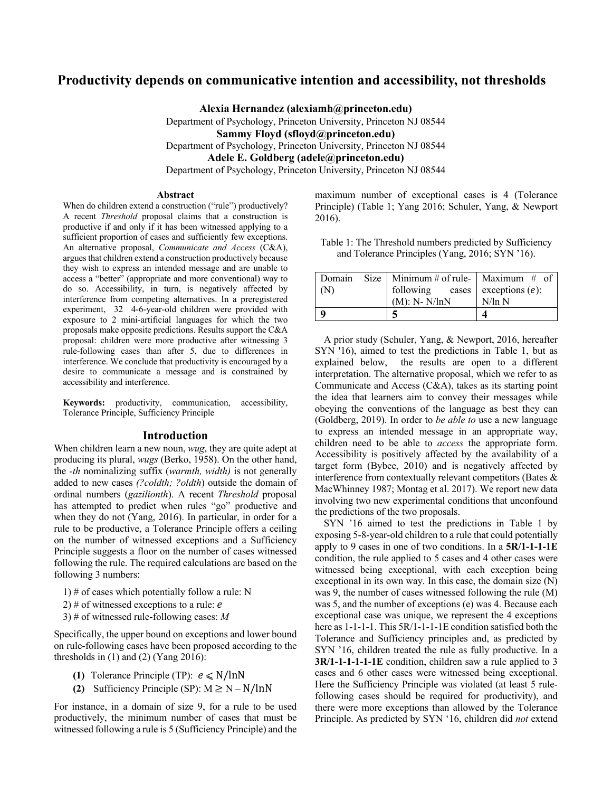# **Productivity depends on communicative intention and accessibility, not thresholds**

**Alexia Hernandez (alexiamh@princeton.edu)** Department of Psychology, Princeton University, Princeton NJ 08544 **Sammy Floyd (sfloyd@princeton.edu)** Department of Psychology, Princeton University, Princeton NJ 08544 **Adele E. Goldberg (adele@princeton.edu)** Department of Psychology, Princeton University, Princeton NJ 08544

#### **Abstract**

When do children extend a construction ("rule") productively? A recent *Threshold* proposal claims that a construction is productive if and only if it has been witnessed applying to a sufficient proportion of cases and sufficiently few exceptions. An alternative proposal, *Communicate and Access* (C&A), argues that children extend a construction productively because they wish to express an intended message and are unable to access a "better" (appropriate and more conventional) way to do so. Accessibility, in turn, is negatively affected by interference from competing alternatives. In a preregistered experiment, 32 4-6-year-old children were provided with exposure to 2 mini-artificial languages for which the two proposals make opposite predictions. Results support the C&A proposal: children were more productive after witnessing 3 rule-following cases than after 5, due to differences in interference. We conclude that productivity is encouraged by a desire to communicate a message and is constrained by accessibility and interference.

**Keywords:** productivity, communication, accessibility, Tolerance Principle, Sufficiency Principle

#### **Introduction**

When children learn a new noun, *wug*, they are quite adept at producing its plural, *wugs* (Berko, 1958). On the other hand, the *-th* nominalizing suffix (*warmth, width)* is not generally added to new cases *(?coldth; ?oldth*) outside the domain of ordinal numbers (*gazilionth*). A recent *Threshold* proposal has attempted to predict when rules "go" productive and when they do not (Yang, 2016). In particular, in order for a rule to be productive, a Tolerance Principle offers a ceiling on the number of witnessed exceptions and a Sufficiency Principle suggests a floor on the number of cases witnessed following the rule. The required calculations are based on the following 3 numbers:

1) # of cases which potentially follow a rule: N

2) # of witnessed exceptions to a rule:  $e$ 

3) # of witnessed rule-following cases: *M*

Specifically, the upper bound on exceptions and lower bound on rule-following cases have been proposed according to the thresholds in  $(1)$  and  $(2)$  (Yang 2016):

- **(1)** Tolerance Principle (TP):  $e \le N / \ln N$
- **(2)** Sufficiency Principle (SP):  $M \ge N N / lnN$

For instance, in a domain of size 9, for a rule to be used productively, the minimum number of cases that must be witnessed following a rule is 5 (Sufficiency Principle) and the maximum number of exceptional cases is 4 (Tolerance Principle) (Table 1; Yang 2016; Schuler, Yang, & Newport 2016).

Table 1: The Threshold numbers predicted by Sufficiency and Tolerance Principles (Yang, 2016; SYN '16).

| Domain | Size   Minimum # of rule-   Maximum # of |           |
|--------|------------------------------------------|-----------|
| (N)    | following cases exceptions $(e)$ :       |           |
|        | $(M)$ : N- $N/\ln N$                     | $N/\ln N$ |
|        |                                          |           |

A prior study (Schuler, Yang, & Newport, 2016, hereafter SYN '16), aimed to test the predictions in Table 1, but as explained below, the results are open to a different interpretation. The alternative proposal, which we refer to as Communicate and Access (C&A), takes as its starting point the idea that learners aim to convey their messages while obeying the conventions of the language as best they can (Goldberg, 2019). In order to *be able to* use a new language to express an intended message in an appropriate way, children need to be able to *access* the appropriate form. Accessibility is positively affected by the availability of a target form (Bybee, 2010) and is negatively affected by interference from contextually relevant competitors (Bates & MacWhinney 1987; Montag et al. 2017). We report new data involving two new experimental conditions that unconfound the predictions of the two proposals.

SYN '16 aimed to test the predictions in Table 1 by exposing 5-8-year-old children to a rule that could potentially apply to 9 cases in one of two conditions. In a **5R/1-1-1-1E** condition, the rule applied to 5 cases and 4 other cases were witnessed being exceptional, with each exception being exceptional in its own way. In this case, the domain size (N) was 9, the number of cases witnessed following the rule (M) was 5, and the number of exceptions (e) was 4. Because each exceptional case was unique, we represent the 4 exceptions here as 1-1-1-1. This 5R/1-1-1-1E condition satisfied both the Tolerance and Sufficiency principles and, as predicted by SYN '16, children treated the rule as fully productive. In a **3R/1-1-1-1-1-1E** condition, children saw a rule applied to 3 cases and 6 other cases were witnessed being exceptional. Here the Sufficiency Principle was violated (at least 5 rulefollowing cases should be required for productivity), and there were more exceptions than allowed by the Tolerance Principle. As predicted by SYN '16, children did *not* extend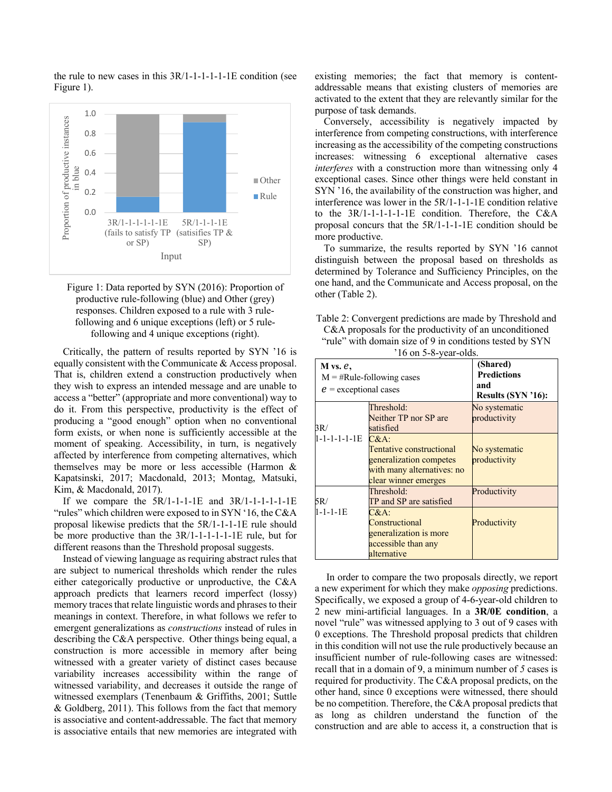

the rule to new cases in this 3R/1-1-1-1-1-1E condition (see

Figure 1: Data reported by SYN (2016): Proportion of productive rule-following (blue) and Other (grey) responses. Children exposed to a rule with 3 rulefollowing and 6 unique exceptions (left) or 5 rulefollowing and 4 unique exceptions (right).

Critically, the pattern of results reported by SYN '16 is equally consistent with the Communicate & Access proposal. That is, children extend a construction productively when they wish to express an intended message and are unable to access a "better" (appropriate and more conventional) way to do it. From this perspective, productivity is the effect of producing a "good enough" option when no conventional form exists, or when none is sufficiently accessible at the moment of speaking. Accessibility, in turn, is negatively affected by interference from competing alternatives, which themselves may be more or less accessible (Harmon & Kapatsinski, 2017; Macdonald, 2013; Montag, Matsuki, Kim, & Macdonald, 2017).

If we compare the  $5R/1-1-1-E$  and  $3R/1-1-1-1-E$ "rules" which children were exposed to in SYN '16, the C&A proposal likewise predicts that the 5R/1-1-1-1E rule should be more productive than the 3R/1-1-1-1-1-1E rule, but for different reasons than the Threshold proposal suggests.

Instead of viewing language as requiring abstract rules that are subject to numerical thresholds which render the rules either categorically productive or unproductive, the C&A approach predicts that learners record imperfect (lossy) memory traces that relate linguistic words and phrases to their meanings in context. Therefore, in what follows we refer to emergent generalizations as *constructions* instead of rules in describing the C&A perspective. Other things being equal, a construction is more accessible in memory after being witnessed with a greater variety of distinct cases because variability increases accessibility within the range of witnessed variability, and decreases it outside the range of witnessed exemplars (Tenenbaum & Griffiths, 2001; Suttle & Goldberg, 2011). This follows from the fact that memory is associative and content-addressable. The fact that memory is associative entails that new memories are integrated with

existing memories; the fact that memory is contentaddressable means that existing clusters of memories are activated to the extent that they are relevantly similar for the purpose of task demands.

Conversely, accessibility is negatively impacted by interference from competing constructions, with interference increasing as the accessibility of the competing constructions increases: witnessing 6 exceptional alternative cases *interferes* with a construction more than witnessing only 4 exceptional cases. Since other things were held constant in SYN '16, the availability of the construction was higher, and interference was lower in the 5R/1-1-1-1E condition relative to the 3R/1-1-1-1-1-1E condition. Therefore, the C&A proposal concurs that the 5R/1-1-1-1E condition should be more productive.

To summarize, the results reported by SYN '16 cannot distinguish between the proposal based on thresholds as determined by Tolerance and Sufficiency Principles, on the one hand, and the Communicate and Access proposal, on the other (Table 2).

| Table 2: Convergent predictions are made by Threshold and |
|-----------------------------------------------------------|
| C&A proposals for the productivity of an unconditioned    |
| "rule" with domain size of 9 in conditions tested by SYN  |
| $11$ $\sim$ $\sim$ 0 $\sim$ 11                            |

| $'16$ on 5-8-year-olds.                  |                                                                                                                      |                                                             |  |  |
|------------------------------------------|----------------------------------------------------------------------------------------------------------------------|-------------------------------------------------------------|--|--|
| $M$ vs. $e$ ,<br>$e$ = exceptional cases | $M = #Rule-following cases$                                                                                          | (Shared)<br><b>Predictions</b><br>and<br>Results (SYN '16): |  |  |
| 3R/                                      | Threshold:<br>Neither TP nor SP are<br>satisfied                                                                     | No systematic<br>productivity                               |  |  |
| $1 - 1 - 1 - 1 - 1E$                     | $C&A$ :<br>Tentative constructional<br>generalization competes<br>with many alternatives: no<br>clear winner emerges | No systematic<br>productivity                               |  |  |
| 5R/                                      | Threshold:<br>TP and SP are satisfied                                                                                | Productivity                                                |  |  |
| $1 - 1 - 1 - 1E$                         | $C&A$ :<br>Constructional<br>generalization is more<br>accessible than any<br>alternative                            | Productivity                                                |  |  |

In order to compare the two proposals directly, we report a new experiment for which they make *opposing* predictions. Specifically, we exposed a group of 4-6-year-old children to 2 new mini-artificial languages. In a **3R/0E condition**, a novel "rule" was witnessed applying to 3 out of 9 cases with 0 exceptions. The Threshold proposal predicts that children in this condition will not use the rule productively because an insufficient number of rule-following cases are witnessed: recall that in a domain of 9, a minimum number of *5* cases is required for productivity. The C&A proposal predicts, on the other hand, since 0 exceptions were witnessed, there should be no competition. Therefore, the C&A proposal predicts that as long as children understand the function of the construction and are able to access it, a construction that is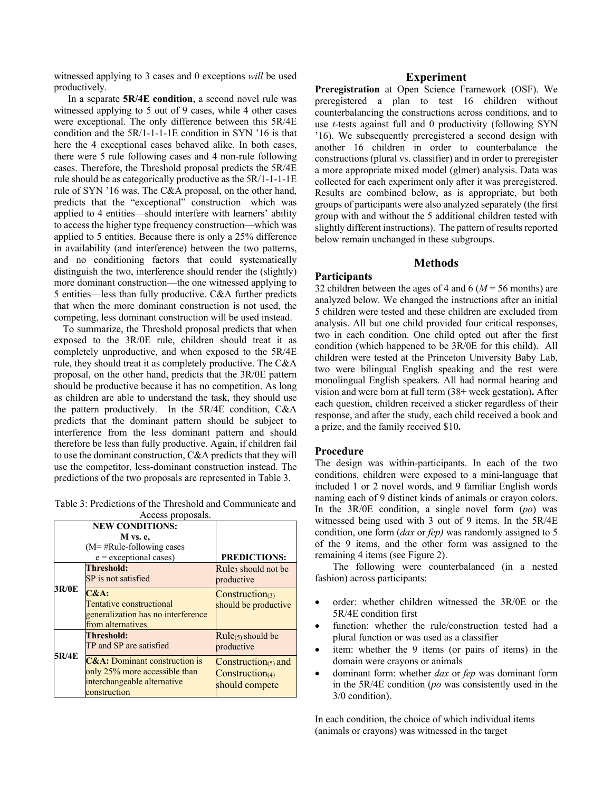witnessed applying to 3 cases and 0 exceptions *will* be used productively.

 In a separate **5R/4E condition**, a second novel rule was witnessed applying to 5 out of 9 cases, while 4 other cases were exceptional. The only difference between this 5R/4E condition and the 5R/1-1-1-1E condition in SYN '16 is that here the 4 exceptional cases behaved alike. In both cases, there were 5 rule following cases and 4 non-rule following cases. Therefore, the Threshold proposal predicts the 5R/4E rule should be as categorically productive as the 5R/1-1-1-1E rule of SYN '16 was. The C&A proposal, on the other hand, predicts that the "exceptional" construction—which was applied to 4 entities—should interfere with learners' ability to access the higher type frequency construction—which was applied to 5 entities. Because there is only a 25% difference in availability (and interference) between the two patterns, and no conditioning factors that could systematically distinguish the two, interference should render the (slightly) more dominant construction—the one witnessed applying to 5 entities—less than fully productive. C&A further predicts that when the more dominant construction is not used, the competing, less dominant construction will be used instead.

To summarize, the Threshold proposal predicts that when exposed to the 3R/0E rule, children should treat it as completely unproductive, and when exposed to the 5R/4E rule, they should treat it as completely productive. The C&A proposal, on the other hand, predicts that the 3R/0E pattern should be productive because it has no competition. As long as children are able to understand the task, they should use the pattern productively. In the 5R/4E condition, C&A predicts that the dominant pattern should be subject to interference from the less dominant pattern and should therefore be less than fully productive. Again, if children fail to use the dominant construction, C&A predicts that they will use the competitor, less-dominant construction instead. The predictions of the two proposals are represented in Table 3.

Table 3: Predictions of the Threshold and Communicate and Access proposals.

|       | <b>NEW CONDITIONS:</b>                                                                                                   |                                                                   |
|-------|--------------------------------------------------------------------------------------------------------------------------|-------------------------------------------------------------------|
|       | M vs. e.                                                                                                                 |                                                                   |
|       | $(M = #Rule-following cases)$                                                                                            |                                                                   |
|       | $e$ = exceptional cases)                                                                                                 | <b>PREDICTIONS:</b>                                               |
|       | <b>Threshold:</b><br>SP is not satisfied                                                                                 | Rule <sub>3</sub> should not be<br>productive                     |
| 3R/0E | $C&A$ :<br>Tentative constructional<br>generalization has no interference<br>from alternatives                           | $Construction_{(3)}$<br>should be productive                      |
| 5R/4E | Threshold:<br>TP and SP are satisfied                                                                                    | $Rule(5)$ should be<br>productive                                 |
|       | <b>C&amp;A:</b> Dominant construction is<br>only 25% more accessible than<br>interchangeable alternative<br>construction | Construction( $5$ ) and<br>$Construction_{(4)}$<br>should compete |

# **Experiment**

**Preregistration** at Open Science Framework (OSF). We preregistered a plan to test 16 children without counterbalancing the constructions across conditions, and to use *t*-tests against full and 0 productivity (following SYN '16). We subsequently preregistered a second design with another 16 children in order to counterbalance the constructions (plural vs. classifier) and in order to preregister a more appropriate mixed model (glmer) analysis. Data was collected for each experiment only after it was preregistered. Results are combined below, as is appropriate, but both groups of participants were also analyzed separately (the first group with and without the 5 additional children tested with slightly different instructions). The pattern of results reported below remain unchanged in these subgroups.

# **Methods**

#### **Participants**

32 children between the ages of 4 and 6 ( $M = 56$  months) are analyzed below. We changed the instructions after an initial 5 children were tested and these children are excluded from analysis. All but one child provided four critical responses, two in each condition. One child opted out after the first condition (which happened to be 3R/0E for this child). All children were tested at the Princeton University Baby Lab, two were bilingual English speaking and the rest were monolingual English speakers. All had normal hearing and vision and were born at full term (38+ week gestation)**.** After each question, children received a sticker regardless of their response, and after the study, each child received a book and a prize, and the family received \$10**.** 

# **Procedure**

The design was within-participants. In each of the two conditions, children were exposed to a mini-language that included 1 or 2 novel words, and 9 familiar English words naming each of 9 distinct kinds of animals or crayon colors. In the 3R/0E condition, a single novel form (*po*) was witnessed being used with 3 out of 9 items. In the 5R/4E condition, one form (*dax* or *fep)* was randomly assigned to 5 of the 9 items, and the other form was assigned to the remaining 4 items (see Figure 2).

The following were counterbalanced (in a nested fashion) across participants:

- order: whether children witnessed the 3R/0E or the 5R/4E condition first
- function: whether the rule/construction tested had a plural function or was used as a classifier
- item: whether the 9 items (or pairs of items) in the domain were crayons or animals
- dominant form: whether *dax* or *fep* was dominant form in the 5R/4E condition (*po* was consistently used in the 3/0 condition).

In each condition, the choice of which individual items (animals or crayons) was witnessed in the target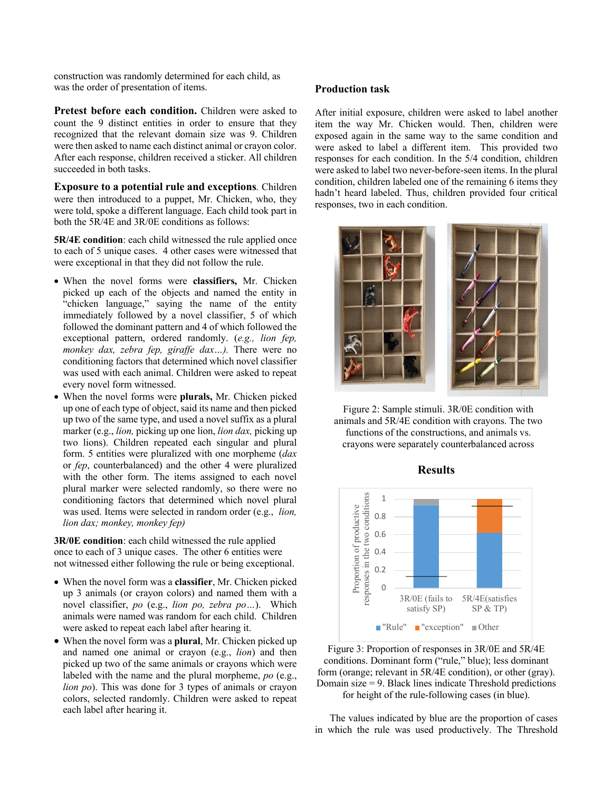construction was randomly determined for each child, as was the order of presentation of items.

**Pretest before each condition.** Children were asked to count the 9 distinct entities in order to ensure that they recognized that the relevant domain size was 9. Children were then asked to name each distinct animal or crayon color. After each response, children received a sticker. All children succeeded in both tasks.

**Exposure to a potential rule and exceptions***.* Children were then introduced to a puppet, Mr. Chicken, who, they were told, spoke a different language. Each child took part in both the 5R/4E and 3R/0E conditions as follows:

**5R/4E condition**: each child witnessed the rule applied once to each of 5 unique cases. 4 other cases were witnessed that were exceptional in that they did not follow the rule.

- When the novel forms were **classifiers,** Mr. Chicken picked up each of the objects and named the entity in "chicken language," saying the name of the entity immediately followed by a novel classifier, 5 of which followed the dominant pattern and 4 of which followed the exceptional pattern, ordered randomly. (*e.g., lion fep, monkey dax, zebra fep, giraffe dax…).* There were no conditioning factors that determined which novel classifier was used with each animal. Children were asked to repeat every novel form witnessed.
- When the novel forms were **plurals,** Mr. Chicken picked up one of each type of object, said its name and then picked up two of the same type, and used a novel suffix as a plural marker (e.g., *lion,* picking up one lion, *lion dax,* picking up two lions). Children repeated each singular and plural form. 5 entities were pluralized with one morpheme (*dax*  or *fep*, counterbalanced) and the other 4 were pluralized with the other form. The items assigned to each novel plural marker were selected randomly, so there were no conditioning factors that determined which novel plural was used. Items were selected in random order (e.g., *lion, lion dax; monkey, monkey fep)*

**3R/0E condition**: each child witnessed the rule applied once to each of 3 unique cases. The other 6 entities were not witnessed either following the rule or being exceptional.

- When the novel form was a **classifier**, Mr. Chicken picked up 3 animals (or crayon colors) and named them with a novel classifier, *po* (e.g., *lion po, zebra po…*). Which animals were named was random for each child. Children were asked to repeat each label after hearing it.
- When the novel form was a **plural**, Mr. Chicken picked up and named one animal or crayon (e.g., *lion*) and then picked up two of the same animals or crayons which were labeled with the name and the plural morpheme, *po* (e.g., *lion po*). This was done for 3 types of animals or crayon colors, selected randomly. Children were asked to repeat each label after hearing it.

#### **Production task**

After initial exposure, children were asked to label another item the way Mr. Chicken would. Then, children were exposed again in the same way to the same condition and were asked to label a different item. This provided two responses for each condition. In the 5/4 condition, children were asked to label two never-before-seen items. In the plural condition, children labeled one of the remaining 6 items they hadn't heard labeled. Thus, children provided four critical responses, two in each condition.



Figure 2: Sample stimuli. 3R/0E condition with animals and 5R/4E condition with crayons. The two functions of the constructions, and animals vs. crayons were separately counterbalanced across

**Results**



Figure 3: Proportion of responses in 3R/0E and 5R/4E conditions. Dominant form ("rule," blue); less dominant form (orange; relevant in 5R/4E condition), or other (gray). Domain size = 9. Black lines indicate Threshold predictions for height of the rule-following cases (in blue).

 The values indicated by blue are the proportion of cases in which the rule was used productively. The Threshold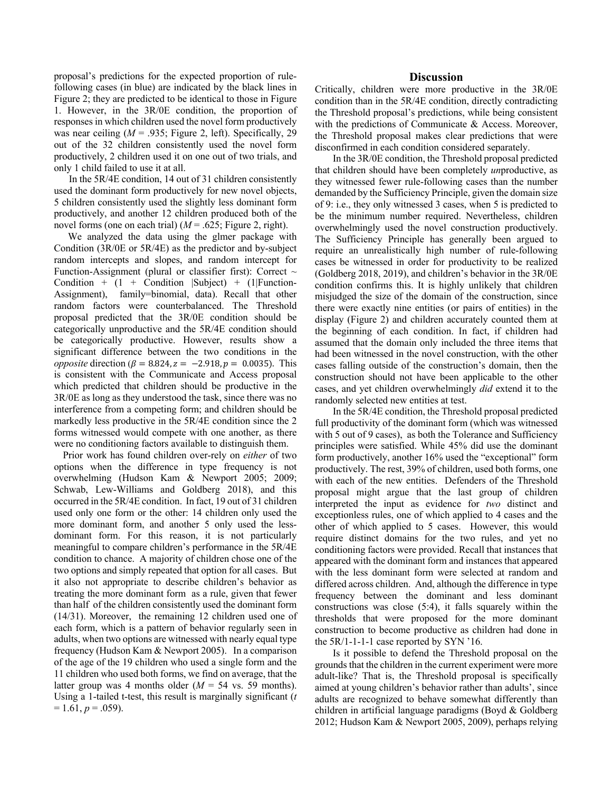proposal's predictions for the expected proportion of rulefollowing cases (in blue) are indicated by the black lines in Figure 2; they are predicted to be identical to those in Figure 1. However, in the 3R/0E condition, the proportion of responses in which children used the novel form productively was near ceiling  $(M = .935;$  Figure 2, left). Specifically, 29 out of the 32 children consistently used the novel form productively, 2 children used it on one out of two trials, and only 1 child failed to use it at all.

 In the 5R/4E condition, 14 out of 31 children consistently used the dominant form productively for new novel objects, 5 children consistently used the slightly less dominant form productively, and another 12 children produced both of the novel forms (one on each trial) (*M* = .625; Figure 2, right).

 We analyzed the data using the glmer package with Condition (3R/0E or 5R/4E) as the predictor and by-subject random intercepts and slopes, and random intercept for Function-Assignment (plural or classifier first): Correct  $\sim$ Condition +  $(1 +$  Condition |Subject) +  $(1)$  Function-Assignment), family=binomial, data). Recall that other random factors were counterbalanced. The Threshold proposal predicted that the 3R/0E condition should be categorically unproductive and the 5R/4E condition should be categorically productive. However, results show a significant difference between the two conditions in the *opposite* direction ( $\beta = 8.824$ ,  $z = -2.918$ ,  $p = 0.0035$ ). This is consistent with the Communicate and Access proposal which predicted that children should be productive in the 3R/0E as long as they understood the task, since there was no interference from a competing form; and children should be markedly less productive in the 5R/4E condition since the 2 forms witnessed would compete with one another, as there were no conditioning factors available to distinguish them.

Prior work has found children over-rely on *either* of two options when the difference in type frequency is not overwhelming (Hudson Kam & Newport 2005; 2009; Schwab, Lew-Williams and Goldberg 2018), and this occurred in the 5R/4E condition. In fact, 19 out of 31 children used only one form or the other: 14 children only used the more dominant form, and another 5 only used the lessdominant form. For this reason, it is not particularly meaningful to compare children's performance in the 5R/4E condition to chance. A majority of children chose one of the two options and simply repeated that option for all cases. But it also not appropriate to describe children's behavior as treating the more dominant form as a rule, given that fewer than half of the children consistently used the dominant form (14/31). Moreover, the remaining 12 children used one of each form, which is a pattern of behavior regularly seen in adults, when two options are witnessed with nearly equal type frequency (Hudson Kam & Newport 2005). In a comparison of the age of the 19 children who used a single form and the 11 children who used both forms, we find on average, that the latter group was 4 months older  $(M = 54$  vs. 59 months). Using a 1-tailed t-test, this result is marginally significant (*t*   $= 1.61, p = .059$ ).

#### **Discussion**

Critically, children were more productive in the 3R/0E condition than in the 5R/4E condition, directly contradicting the Threshold proposal's predictions, while being consistent with the predictions of Communicate & Access. Moreover, the Threshold proposal makes clear predictions that were disconfirmed in each condition considered separately.

In the 3R/0E condition, the Threshold proposal predicted that children should have been completely *un*productive, as they witnessed fewer rule-following cases than the number demanded by the Sufficiency Principle, given the domain size of 9: i.e., they only witnessed 3 cases, when 5 is predicted to be the minimum number required. Nevertheless, children overwhelmingly used the novel construction productively. The Sufficiency Principle has generally been argued to require an unrealistically high number of rule-following cases be witnessed in order for productivity to be realized (Goldberg 2018, 2019), and children's behavior in the 3R/0E condition confirms this. It is highly unlikely that children misjudged the size of the domain of the construction, since there were exactly nine entities (or pairs of entities) in the display (Figure 2) and children accurately counted them at the beginning of each condition. In fact, if children had assumed that the domain only included the three items that had been witnessed in the novel construction, with the other cases falling outside of the construction's domain, then the construction should not have been applicable to the other cases, and yet children overwhelmingly *did* extend it to the randomly selected new entities at test.

In the 5R/4E condition, the Threshold proposal predicted full productivity of the dominant form (which was witnessed with 5 out of 9 cases), as both the Tolerance and Sufficiency principles were satisfied. While 45% did use the dominant form productively, another 16% used the "exceptional" form productively. The rest, 39% of children, used both forms, one with each of the new entities. Defenders of the Threshold proposal might argue that the last group of children interpreted the input as evidence for *two* distinct and exceptionless rules, one of which applied to 4 cases and the other of which applied to 5 cases. However, this would require distinct domains for the two rules, and yet no conditioning factors were provided. Recall that instances that appeared with the dominant form and instances that appeared with the less dominant form were selected at random and differed across children. And, although the difference in type frequency between the dominant and less dominant constructions was close (5:4), it falls squarely within the thresholds that were proposed for the more dominant construction to become productive as children had done in the 5R/1-1-1-1 case reported by SYN '16.

Is it possible to defend the Threshold proposal on the grounds that the children in the current experiment were more adult-like? That is, the Threshold proposal is specifically aimed at young children's behavior rather than adults', since adults are recognized to behave somewhat differently than children in artificial language paradigms (Boyd & Goldberg 2012; Hudson Kam & Newport 2005, 2009), perhaps relying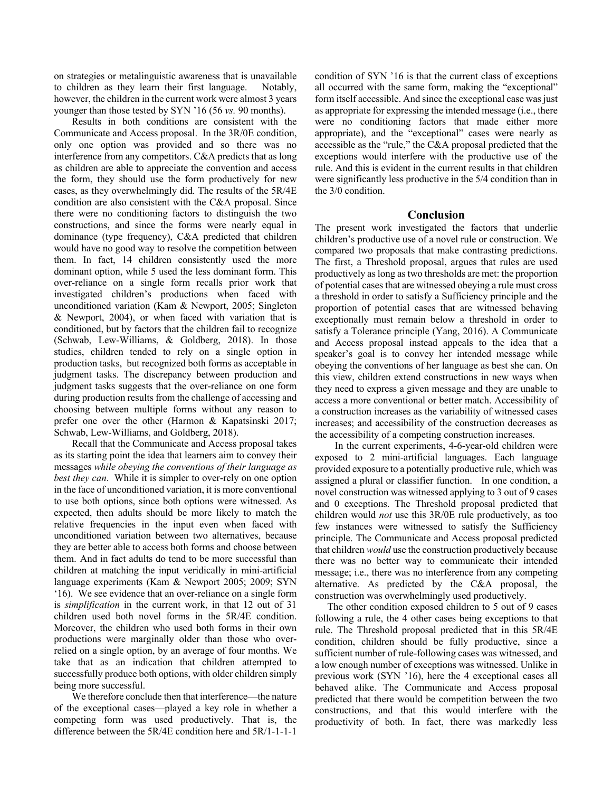on strategies or metalinguistic awareness that is unavailable to children as they learn their first language. Notably, however, the children in the current work were almost 3 years younger than those tested by SYN '16 (56 *vs.* 90 months).

Results in both conditions are consistent with the Communicate and Access proposal. In the 3R/0E condition, only one option was provided and so there was no interference from any competitors. C&A predicts that as long as children are able to appreciate the convention and access the form, they should use the form productively for new cases, as they overwhelmingly did. The results of the 5R/4E condition are also consistent with the C&A proposal. Since there were no conditioning factors to distinguish the two constructions, and since the forms were nearly equal in dominance (type frequency), C&A predicted that children would have no good way to resolve the competition between them. In fact, 14 children consistently used the more dominant option, while 5 used the less dominant form. This over-reliance on a single form recalls prior work that investigated children's productions when faced with unconditioned variation (Kam & Newport, 2005; Singleton & Newport, 2004), or when faced with variation that is conditioned, but by factors that the children fail to recognize (Schwab, Lew-Williams, & Goldberg, 2018). In those studies, children tended to rely on a single option in production tasks, but recognized both forms as acceptable in judgment tasks. The discrepancy between production and judgment tasks suggests that the over-reliance on one form during production results from the challenge of accessing and choosing between multiple forms without any reason to prefer one over the other (Harmon & Kapatsinski 2017; Schwab, Lew-Williams, and Goldberg, 2018).

Recall that the Communicate and Access proposal takes as its starting point the idea that learners aim to convey their messages *while obeying the conventions of their language as best they can*. While it is simpler to over-rely on one option in the face of unconditioned variation, it is more conventional to use both options, since both options were witnessed. As expected, then adults should be more likely to match the relative frequencies in the input even when faced with unconditioned variation between two alternatives, because they are better able to access both forms and choose between them. And in fact adults do tend to be more successful than children at matching the input veridically in mini-artificial language experiments (Kam & Newport 2005; 2009; SYN '16). We see evidence that an over-reliance on a single form is *simplification* in the current work, in that 12 out of 31 children used both novel forms in the 5R/4E condition. Moreover, the children who used both forms in their own productions were marginally older than those who overrelied on a single option, by an average of four months. We take that as an indication that children attempted to successfully produce both options, with older children simply being more successful.

We therefore conclude then that interference—the nature of the exceptional cases—played a key role in whether a competing form was used productively. That is, the difference between the 5R/4E condition here and 5R/1-1-1-1

condition of SYN '16 is that the current class of exceptions all occurred with the same form, making the "exceptional" form itself accessible. And since the exceptional case was just as appropriate for expressing the intended message (i.e., there were no conditioning factors that made either more appropriate), and the "exceptional" cases were nearly as accessible as the "rule," the C&A proposal predicted that the exceptions would interfere with the productive use of the rule. And this is evident in the current results in that children were significantly less productive in the 5/4 condition than in the 3/0 condition.

# **Conclusion**

The present work investigated the factors that underlie children's productive use of a novel rule or construction. We compared two proposals that make contrasting predictions. The first, a Threshold proposal, argues that rules are used productively as long as two thresholds are met: the proportion of potential cases that are witnessed obeying a rule must cross a threshold in order to satisfy a Sufficiency principle and the proportion of potential cases that are witnessed behaving exceptionally must remain below a threshold in order to satisfy a Tolerance principle (Yang, 2016). A Communicate and Access proposal instead appeals to the idea that a speaker's goal is to convey her intended message while obeying the conventions of her language as best she can. On this view, children extend constructions in new ways when they need to express a given message and they are unable to access a more conventional or better match. Accessibility of a construction increases as the variability of witnessed cases increases; and accessibility of the construction decreases as the accessibility of a competing construction increases.

 In the current experiments, 4-6-year-old children were exposed to 2 mini-artificial languages. Each language provided exposure to a potentially productive rule, which was assigned a plural or classifier function. In one condition, a novel construction was witnessed applying to 3 out of 9 cases and 0 exceptions. The Threshold proposal predicted that children would *not* use this 3R/0E rule productively, as too few instances were witnessed to satisfy the Sufficiency principle. The Communicate and Access proposal predicted that children *would* use the construction productively because there was no better way to communicate their intended message; i.e., there was no interference from any competing alternative. As predicted by the C&A proposal, the construction was overwhelmingly used productively.

 The other condition exposed children to 5 out of 9 cases following a rule, the 4 other cases being exceptions to that rule. The Threshold proposal predicted that in this 5R/4E condition, children should be fully productive, since a sufficient number of rule-following cases was witnessed, and a low enough number of exceptions was witnessed. Unlike in previous work (SYN '16), here the 4 exceptional cases all behaved alike. The Communicate and Access proposal predicted that there would be competition between the two constructions, and that this would interfere with the productivity of both. In fact, there was markedly less